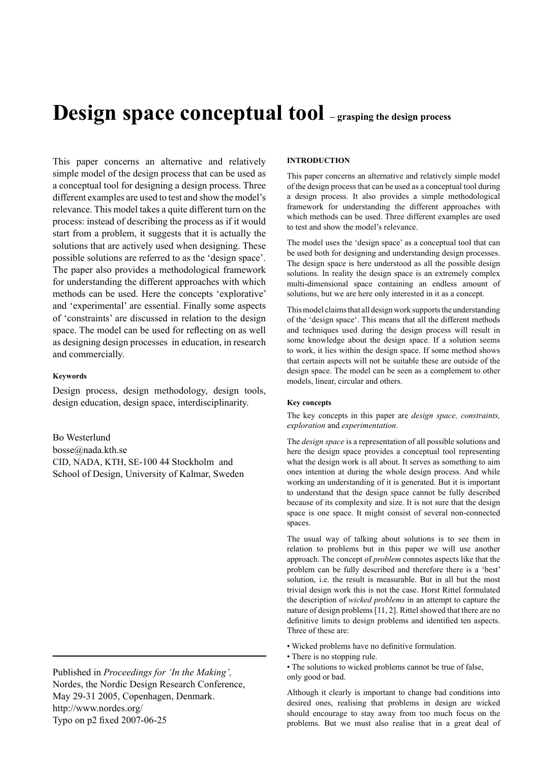# **Design space conceptual tool – grasping the design process**

This paper concerns an alternative and relatively simple model of the design process that can be used as a conceptual tool for designing a design process. Three different examples are used to test and show the model's relevance. This model takes a quite different turn on the process: instead of describing the process as if it would start from a problem, it suggests that it is actually the solutions that are actively used when designing. These possible solutions are referred to as the 'design space'. The paper also provides a methodological framework for understanding the different approaches with which methods can be used. Here the concepts 'explorative' and 'experimental' are essential. Finally some aspects of 'constraints' are discussed in relation to the design space. The model can be used for reflecting on as well as designing design processes in education, in research and commercially.

# **Keywords**

Design process, design methodology, design tools, design education, design space, interdisciplinarity.

Bo Westerlund bosse@nada.kth.se CID, NADA, KTH, SE-100 44 Stockholm and School of Design, University of Kalmar, Sweden

Published in *Proceedings for 'In the Making',* Nordes, the Nordic Design Research Conference, May 29-31 2005, Copenhagen, Denmark. http://www.nordes.org/ Typo on p2 fixed 2007-06-25

# **Introduction**

This paper concerns an alternative and relatively simple model of the design process that can be used as a conceptual tool during a design process. It also provides a simple methodological framework for understanding the different approaches with which methods can be used. Three different examples are used to test and show the model's relevance.

The model uses the 'design space' as a conceptual tool that can be used both for designing and understanding design processes. The design space is here understood as all the possible design solutions. In reality the design space is an extremely complex multi-dimensional space containing an endless amount of solutions, but we are here only interested in it as a concept.

This model claims that all design work supports the understanding of the 'design space'. This means that all the different methods and techniques used during the design process will result in some knowledge about the design space. If a solution seems to work, it lies within the design space. If some method shows that certain aspects will not be suitable these are outside of the design space. The model can be seen as a complement to other models, linear, circular and others.

# **Key concepts**

The key concepts in this paper are *design space, constraints, exploration* and *experimentation*.

The *design space* is a representation of all possible solutions and here the design space provides a conceptual tool representing what the design work is all about. It serves as something to aim ones intention at during the whole design process. And while working an understanding of it is generated. But it is important to understand that the design space cannot be fully described because of its complexity and size. It is not sure that the design space is one space. It might consist of several non-connected spaces.

The usual way of talking about solutions is to see them in relation to problems but in this paper we will use another approach. The concept of *problem* connotes aspects like that the problem can be fully described and therefore there is a 'best' solution, i.e. the result is measurable. But in all but the most trivial design work this is not the case. Horst Rittel formulated the description of *wicked problems* in an attempt to capture the nature of design problems [11, 2]. Rittel showed that there are no definitive limits to design problems and identified ten aspects. Three of these are:

- Wicked problems have no definitive formulation.
- There is no stopping rule.
- The solutions to wicked problems cannot be true of false, only good or bad.

Although it clearly is important to change bad conditions into desired ones, realising that problems in design are wicked should encourage to stay away from too much focus on the problems. But we must also realise that in a great deal of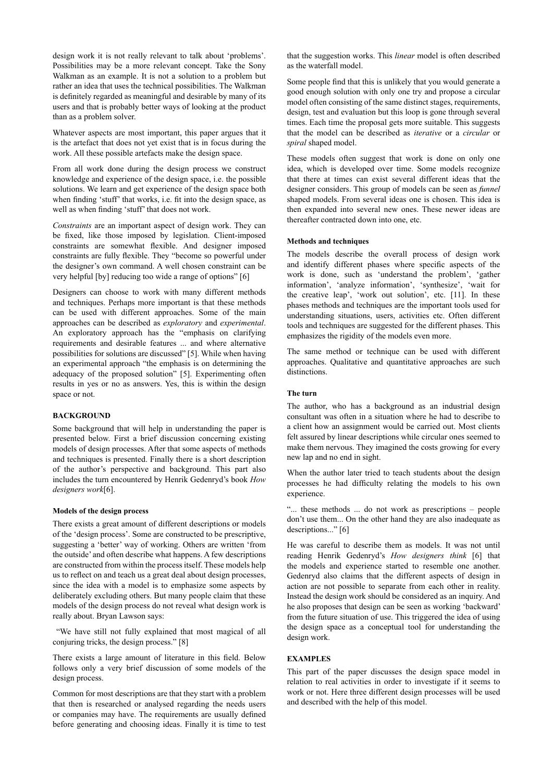design work it is not really relevant to talk about 'problems'. Possibilities may be a more relevant concept. Take the Sony Walkman as an example. It is not a solution to a problem but rather an idea that uses the technical possibilities. The Walkman is definitely regarded as meaningful and desirable by many of its users and that is probably better ways of looking at the product than as a problem solver.

Whatever aspects are most important, this paper argues that it is the artefact that does not yet exist that is in focus during the work. All these possible artefacts make the design space.

From all work done during the design process we construct knowledge and experience of the design space, i.e. the possible solutions. We learn and get experience of the design space both when finding 'stuff' that works, i.e. fit into the design space, as well as when finding 'stuff' that does not work.

*Constraints* are an important aspect of design work. They can be fixed, like those imposed by legislation. Client-imposed constraints are somewhat flexible. And designer imposed constraints are fully flexible. They "become so powerful under the designer's own command. A well chosen constraint can be very helpful [by] reducing too wide a range of options" [6]

Designers can choose to work with many different methods and techniques. Perhaps more important is that these methods can be used with different approaches. Some of the main approaches can be described as *exploratory* and *experimental*. An exploratory approach has the "emphasis on clarifying requirements and desirable features ... and where alternative possibilities for solutions are discussed" [5]. While when having an experimental approach "the emphasis is on determining the adequacy of the proposed solution" [5]. Experimenting often results in yes or no as answers. Yes, this is within the design space or not.

# **Background**

Some background that will help in understanding the paper is presented below. First a brief discussion concerning existing models of design processes. After that some aspects of methods and techniques is presented. Finally there is a short description of the author's perspective and background. This part also includes the turn encountered by Henrik Gedenryd's book *How designers work*[6].

## **Models of the design process**

There exists a great amount of different descriptions or models of the 'design process'. Some are constructed to be prescriptive, suggesting a 'better' way of working. Others are written 'from the outside' and often describe what happens. A few descriptions are constructed from within the process itself. These models help us to reflect on and teach us a great deal about design processes, since the idea with a model is to emphasize some aspects by deliberately excluding others. But many people claim that these models of the design process do not reveal what design work is really about. Bryan Lawson says:

 "We have still not fully explained that most magical of all conjuring tricks, the design process." [8]

There exists a large amount of literature in this field. Below follows only a very brief discussion of some models of the design process.

Common for most descriptions are that they start with a problem that then is researched or analysed regarding the needs users or companies may have. The requirements are usually defined before generating and choosing ideas. Finally it is time to test

that the suggestion works. This *linear* model is often described as the waterfall model.

Some people find that this is unlikely that you would generate a good enough solution with only one try and propose a circular model often consisting of the same distinct stages, requirements, design, test and evaluation but this loop is gone through several times. Each time the proposal gets more suitable. This suggests that the model can be described as *iterative* or a *circular* or *spiral* shaped model.

These models often suggest that work is done on only one idea, which is developed over time. Some models recognize that there at times can exist several different ideas that the designer considers. This group of models can be seen as *funnel* shaped models. From several ideas one is chosen. This idea is then expanded into several new ones. These newer ideas are thereafter contracted down into one, etc.

## **Methods and techniques**

The models describe the overall process of design work and identify different phases where specific aspects of the work is done, such as 'understand the problem', 'gather information', 'analyze information', 'synthesize', 'wait for the creative leap', 'work out solution', etc. [11]. In these phases methods and techniques are the important tools used for understanding situations, users, activities etc. Often different tools and techniques are suggested for the different phases. This emphasizes the rigidity of the models even more.

The same method or technique can be used with different approaches. Qualitative and quantitative approaches are such distinctions.

# **The turn**

The author, who has a background as an industrial design consultant was often in a situation where he had to describe to a client how an assignment would be carried out. Most clients felt assured by linear descriptions while circular ones seemed to make them nervous. They imagined the costs growing for every new lap and no end in sight.

When the author later tried to teach students about the design processes he had difficulty relating the models to his own experience.

"... these methods ... do not work as prescriptions - people don't use them... On the other hand they are also inadequate as descriptions..." [6]

He was careful to describe them as models. It was not until reading Henrik Gedenryd's *How designers think* [6] that the models and experience started to resemble one another. Gedenryd also claims that the different aspects of design in action are not possible to separate from each other in reality. Instead the design work should be considered as an inquiry. And he also proposes that design can be seen as working 'backward' from the future situation of use. This triggered the idea of using the design space as a conceptual tool for understanding the design work.

# **Examples**

This part of the paper discusses the design space model in relation to real activities in order to investigate if it seems to work or not. Here three different design processes will be used and described with the help of this model.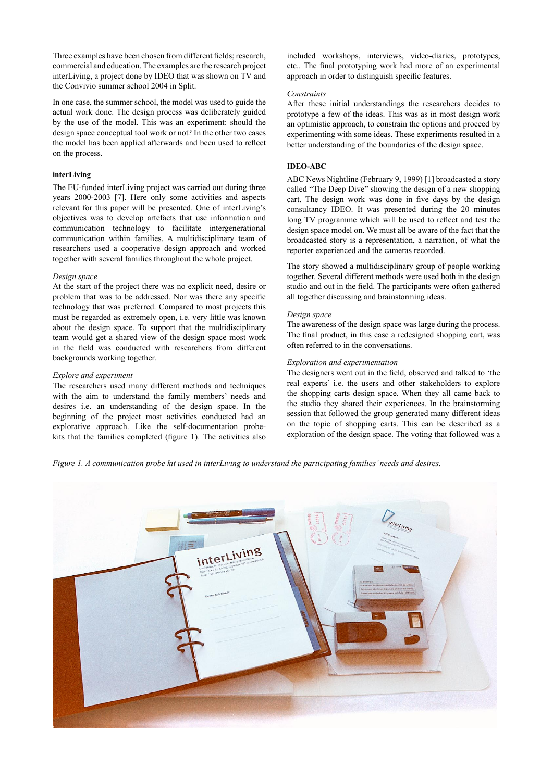Three examples have been chosen from different fields; research, commercial and education. The examples are the research project interLiving, a project done by IDEO that was shown on TV and the Convivio summer school 2004 in Split.

In one case, the summer school, the model was used to guide the actual work done. The design process was deliberately guided by the use of the model. This was an experiment: should the design space conceptual tool work or not? In the other two cases the model has been applied afterwards and been used to reflect on the process.

## **interLiving**

The EU-funded interLiving project was carried out during three years 2000-2003 [7]. Here only some activities and aspects relevant for this paper will be presented. One of interLiving's objectives was to develop artefacts that use information and communication technology to facilitate intergenerational communication within families. A multidisciplinary team of researchers used a cooperative design approach and worked together with several families throughout the whole project.

## *Design space*

At the start of the project there was no explicit need, desire or problem that was to be addressed. Nor was there any specific technology that was preferred. Compared to most projects this must be regarded as extremely open, i.e. very little was known about the design space. To support that the multidisciplinary team would get a shared view of the design space most work in the field was conducted with researchers from different backgrounds working together.

#### *Explore and experiment*

The researchers used many different methods and techniques with the aim to understand the family members' needs and desires i.e. an understanding of the design space. In the beginning of the project most activities conducted had an explorative approach. Like the self-documentation probekits that the families completed (figure 1). The activities also

included workshops, interviews, video-diaries, prototypes, etc.. The final prototyping work had more of an experimental approach in order to distinguish specific features.

#### *Constraints*

After these initial understandings the researchers decides to prototype a few of the ideas. This was as in most design work an optimistic approach, to constrain the options and proceed by experimenting with some ideas. These experiments resulted in a better understanding of the boundaries of the design space.

# **IDEO-ABC**

ABC News Nightline (February 9, 1999) [1] broadcasted a story called "The Deep Dive" showing the design of a new shopping cart. The design work was done in five days by the design consultancy IDEO. It was presented during the 20 minutes long TV programme which will be used to reflect and test the design space model on. We must all be aware of the fact that the broadcasted story is a representation, a narration, of what the reporter experienced and the cameras recorded.

The story showed a multidisciplinary group of people working together. Several different methods were used both in the design studio and out in the field. The participants were often gathered all together discussing and brainstorming ideas.

## *Design space*

The awareness of the design space was large during the process. The final product, in this case a redesigned shopping cart, was often referred to in the conversations.

# *Exploration and experimentation*

The designers went out in the field, observed and talked to 'the real experts' i.e. the users and other stakeholders to explore the shopping carts design space. When they all came back to the studio they shared their experiences. In the brainstorming session that followed the group generated many different ideas on the topic of shopping carts. This can be described as a exploration of the design space. The voting that followed was a

*Figure 1. A communication probe kit used in interLiving to understand the participating families' needs and desires.* 

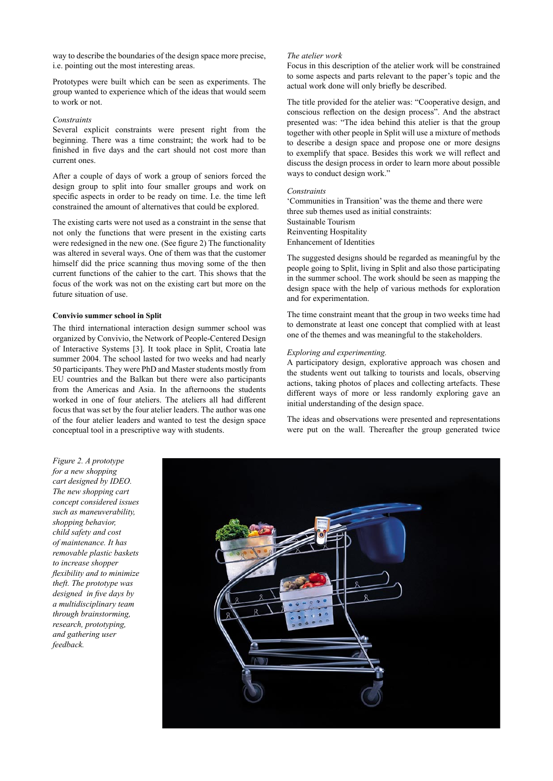way to describe the boundaries of the design space more precise, i.e. pointing out the most interesting areas.

Prototypes were built which can be seen as experiments. The group wanted to experience which of the ideas that would seem to work or not.

# *Constraints*

Several explicit constraints were present right from the beginning. There was a time constraint; the work had to be finished in five days and the cart should not cost more than current ones.

After a couple of days of work a group of seniors forced the design group to split into four smaller groups and work on specific aspects in order to be ready on time. I.e. the time left constrained the amount of alternatives that could be explored.

The existing carts were not used as a constraint in the sense that not only the functions that were present in the existing carts were redesigned in the new one. (See figure 2) The functionality was altered in several ways. One of them was that the customer himself did the price scanning thus moving some of the then current functions of the cahier to the cart. This shows that the focus of the work was not on the existing cart but more on the future situation of use.

## **Convivio summer school in Split**

The third international interaction design summer school was organized by Convivio, the Network of People-Centered Design of Interactive Systems [3]. It took place in Split, Croatia late summer 2004. The school lasted for two weeks and had nearly 50 participants. They were PhD and Master students mostly from EU countries and the Balkan but there were also participants from the Americas and Asia. In the afternoons the students worked in one of four ateliers. The ateliers all had different focus that was set by the four atelier leaders. The author was one of the four atelier leaders and wanted to test the design space conceptual tool in a prescriptive way with students.

# *The atelier work*

Focus in this description of the atelier work will be constrained to some aspects and parts relevant to the paper's topic and the actual work done will only briefly be described.

The title provided for the atelier was: "Cooperative design, and conscious reflection on the design process". And the abstract presented was: "The idea behind this atelier is that the group together with other people in Split will use a mixture of methods to describe a design space and propose one or more designs to exemplify that space. Besides this work we will reflect and discuss the design process in order to learn more about possible ways to conduct design work."

# *Constraints*

'Communities in Transition' was the theme and there were three sub themes used as initial constraints: Sustainable Tourism Reinventing Hospitality Enhancement of Identities

The suggested designs should be regarded as meaningful by the people going to Split, living in Split and also those participating in the summer school. The work should be seen as mapping the design space with the help of various methods for exploration and for experimentation.

The time constraint meant that the group in two weeks time had to demonstrate at least one concept that complied with at least one of the themes and was meaningful to the stakeholders.

# *Exploring and experimenting.*

A participatory design, explorative approach was chosen and the students went out talking to tourists and locals, observing actions, taking photos of places and collecting artefacts. These different ways of more or less randomly exploring gave an initial understanding of the design space.

The ideas and observations were presented and representations were put on the wall. Thereafter the group generated twice

*Figure 2. A prototype for a new shopping cart designed by IDEO. The new shopping cart concept considered issues such as maneuverability, shopping behavior, child safety and cost of maintenance. It has removable plastic baskets to increase shopper flexibility and to minimize theft. The prototype was designed in five days by a multidisciplinary team through brainstorming, research, prototyping, and gathering user feedback.*

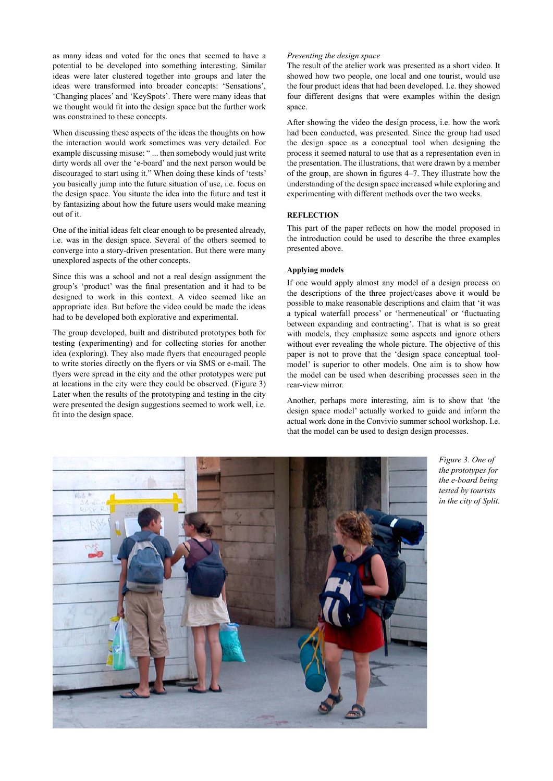as many ideas and voted for the ones that seemed to have a potential to be developed into something interesting. Similar ideas were later clustered together into groups and later the ideas were transformed into broader concepts: 'Sensations', 'Changing places' and 'KeySpots'. There were many ideas that we thought would fit into the design space but the further work was constrained to these concepts.

When discussing these aspects of the ideas the thoughts on how the interaction would work sometimes was very detailed. For example discussing misuse: " ... then somebody would just write dirty words all over the 'e-board' and the next person would be discouraged to start using it." When doing these kinds of 'tests' you basically jump into the future situation of use, i.e. focus on the design space. You situate the idea into the future and test it by fantasizing about how the future users would make meaning out of it.

One of the initial ideas felt clear enough to be presented already, i.e. was in the design space. Several of the others seemed to converge into a story-driven presentation. But there were many unexplored aspects of the other concepts.

Since this was a school and not a real design assignment the group's 'product' was the final presentation and it had to be designed to work in this context. A video seemed like an appropriate idea. But before the video could be made the ideas had to be developed both explorative and experimental.

The group developed, built and distributed prototypes both for testing (experimenting) and for collecting stories for another idea (exploring). They also made flyers that encouraged people to write stories directly on the flyers or via SMS or e-mail. The flyers were spread in the city and the other prototypes were put at locations in the city were they could be observed. (Figure 3) Later when the results of the prototyping and testing in the city were presented the design suggestions seemed to work well, i.e. fit into the design space.

# *Presenting the design space*

The result of the atelier work was presented as a short video. It showed how two people, one local and one tourist, would use the four product ideas that had been developed. I.e. they showed four different designs that were examples within the design space.

After showing the video the design process, i.e. how the work had been conducted, was presented. Since the group had used the design space as a conceptual tool when designing the process it seemed natural to use that as a representation even in the presentation. The illustrations, that were drawn by a member of the group, are shown in figures 4–7. They illustrate how the understanding of the design space increased while exploring and experimenting with different methods over the two weeks.

## **Reflection**

This part of the paper reflects on how the model proposed in the introduction could be used to describe the three examples presented above.

## **Applying models**

If one would apply almost any model of a design process on the descriptions of the three project/cases above it would be possible to make reasonable descriptions and claim that 'it was a typical waterfall process' or 'hermeneutical' or 'fluctuating between expanding and contracting'. That is what is so great with models, they emphasize some aspects and ignore others without ever revealing the whole picture. The objective of this paper is not to prove that the 'design space conceptual toolmodel' is superior to other models. One aim is to show how the model can be used when describing processes seen in the rear-view mirror.

Another, perhaps more interesting, aim is to show that 'the design space model' actually worked to guide and inform the actual work done in the Convivio summer school workshop. I.e. that the model can be used to design design processes.



*Figure 3. One of the prototypes for the e-board being tested by tourists in the city of Split.*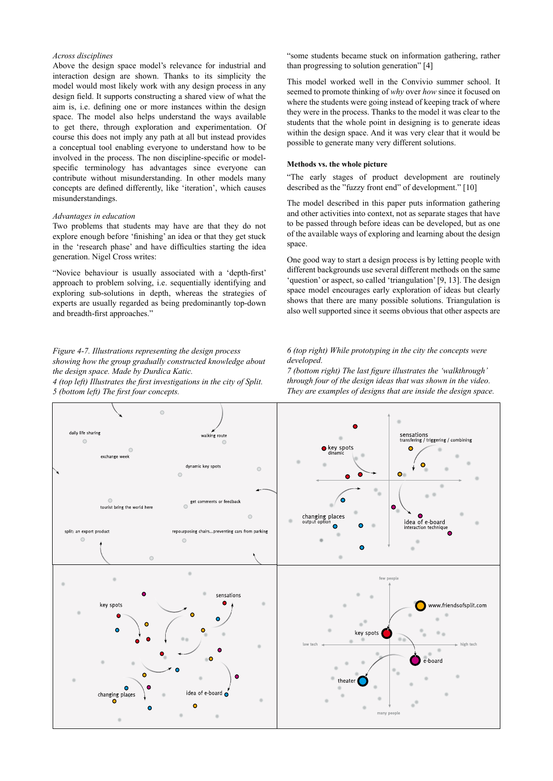# *Across disciplines*

Above the design space model's relevance for industrial and interaction design are shown. Thanks to its simplicity the model would most likely work with any design process in any design field. It supports constructing a shared view of what the aim is, i.e. defining one or more instances within the design space. The model also helps understand the ways available to get there, through exploration and experimentation. Of course this does not imply any path at all but instead provides a conceptual tool enabling everyone to understand how to be involved in the process. The non discipline-specific or modelspecific terminology has advantages since everyone can contribute without misunderstanding. In other models many concepts are defined differently, like 'iteration', which causes misunderstandings.

#### *Advantages in education*

Two problems that students may have are that they do not explore enough before 'finishing' an idea or that they get stuck in the 'research phase' and have difficulties starting the idea generation. Nigel Cross writes:

"Novice behaviour is usually associated with a 'depth-first' approach to problem solving, i.e. sequentially identifying and exploring sub-solutions in depth, whereas the strategies of experts are usually regarded as being predominantly top-down and breadth-first approaches."

# *Figure 4-7. Illustrations representing the design process showing how the group gradually constructed knowledge about the design space. Made by Durdica Katic.*

*4 (top left) Illustrates the first investigations in the city of Split. 5 (bottom left) The first four concepts.* 

"some students became stuck on information gathering, rather than progressing to solution generation" [4]

This model worked well in the Convivio summer school. It seemed to promote thinking of *why* over *how* since it focused on where the students were going instead of keeping track of where they were in the process. Thanks to the model it was clear to the students that the whole point in designing is to generate ideas within the design space. And it was very clear that it would be possible to generate many very different solutions.

#### **Methods vs. the whole picture**

"The early stages of product development are routinely described as the "fuzzy front end" of development." [10]

The model described in this paper puts information gathering and other activities into context, not as separate stages that have to be passed through before ideas can be developed, but as one of the available ways of exploring and learning about the design space.

One good way to start a design process is by letting people with different backgrounds use several different methods on the same 'question' or aspect, so called 'triangulation' [9, 13]. The design space model encourages early exploration of ideas but clearly shows that there are many possible solutions. Triangulation is also well supported since it seems obvious that other aspects are

## *6 (top right) While prototyping in the city the concepts were developed.*

*7 (bottom right) The last figure illustrates the 'walkthrough' through four of the design ideas that was shown in the video. They are examples of designs that are inside the design space.*